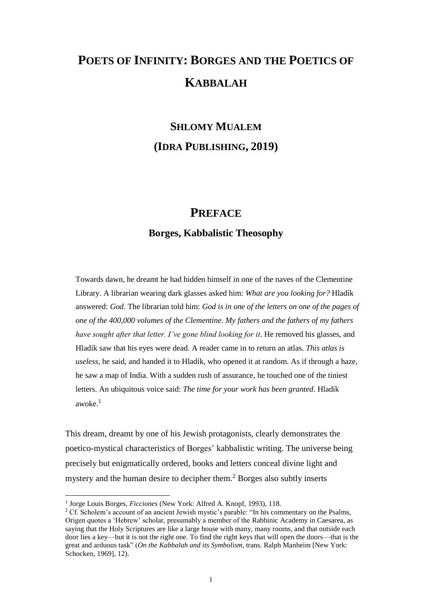## **POETS OF INFINITY: BORGES AND THE POETICS OF KABBALAH**

## **SHLOMY MUALEM (IDRA PUBLISHING, 2019)**

## **PREFACE**

## **Borges, Kabbalistic Theosophy**

Towards dawn, he dreamt he had hidden himself in one of the naves of the Clementine Library. A librarian wearing dark glasses asked him: *What are you looking for?* Hladík answered: *God*. The librarian told him: *God is in one of the letters on one of the pages of one of the 400,000 volumes of the Clementine. My fathers and the fathers of my fathers have sought after that letter. I've gone blind looking for it. He removed his glasses, and* Hladík saw that his eyes were dead. A reader came in to return an atlas. *This atlas is useless*, he said, and handed it to Hladík, who opened it at random. As if through a haze, he saw a map of India. With a sudden rush of assurance, he touched one of the tiniest letters. An ubiquitous voice said: *The time for your work has been granted*. Hladík awoke. $<sup>1</sup>$ </sup>

This dream, dreamt by one of his Jewish protagonists, clearly demonstrates the poetico-mystical characteristics of Borges' kabbalistic writing. The universe being precisely but enigmatically ordered, books and letters conceal divine light and mystery and the human desire to decipher them.<sup>2</sup> Borges also subtly inserts

<sup>&</sup>lt;sup>1</sup> Jorge Louis Borges, *Ficciones* (New York: Alfred A. Knopf, 1993), 118.

<sup>&</sup>lt;sup>2</sup> Cf. Scholem's account of an ancient Jewish mystic's parable: "In his commentary on the Psalms, Origen quotes a 'Hebrew' scholar, presumably a member of the Rabbinic Academy in Caesarea, as saying that the Holy Scriptures are like a large house with many, many rooms, and that outside each door lies a key—but it is not the right one. To find the right keys that will open the doors—that is the great and arduous task" (*On the Kabbalah and its Symbolism*, trans. Ralph Manheim [New York: Schocken, 1969], 12).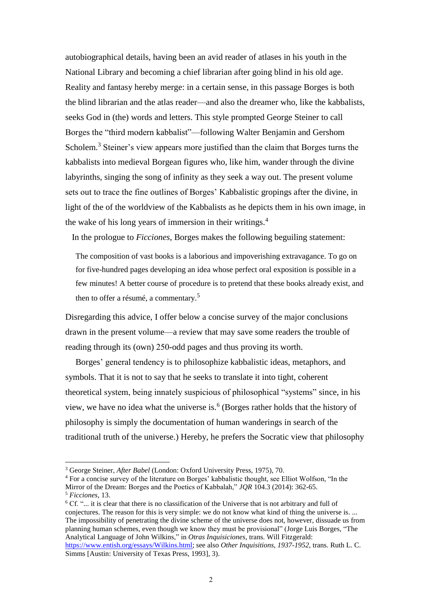autobiographical details, having been an avid reader of atlases in his youth in the National Library and becoming a chief librarian after going blind in his old age. Reality and fantasy hereby merge: in a certain sense, in this passage Borges is both the blind librarian and the atlas reader—and also the dreamer who, like the kabbalists, seeks God in (the) words and letters. This style prompted George Steiner to call Borges the "third modern kabbalist"—following Walter Benjamin and Gershom Scholem.<sup>3</sup> Steiner's view appears more justified than the claim that Borges turns the kabbalists into medieval Borgean figures who, like him, wander through the divine labyrinths, singing the song of infinity as they seek a way out. The present volume sets out to trace the fine outlines of Borges' Kabbalistic gropings after the divine, in light of the of the worldview of the Kabbalists as he depicts them in his own image, in the wake of his long years of immersion in their writings.<sup>4</sup>

In the prologue to *Ficciones*, Borges makes the following beguiling statement:

The composition of vast books is a laborious and impoverishing extravagance. To go on for five-hundred pages developing an idea whose perfect oral exposition is possible in a few minutes! A better course of procedure is to pretend that these books already exist, and then to offer a résumé, a commentary.<sup>5</sup>

Disregarding this advice, I offer below a concise survey of the major conclusions drawn in the present volume—a review that may save some readers the trouble of reading through its (own) 250-odd pages and thus proving its worth.

Borges' general tendency is to philosophize kabbalistic ideas, metaphors, and symbols. That it is not to say that he seeks to translate it into tight, coherent theoretical system, being innately suspicious of philosophical "systems" since, in his view, we have no idea what the universe is.<sup>6</sup> (Borges rather holds that the history of philosophy is simply the documentation of human wanderings in search of the traditional truth of the universe.) Hereby, he prefers the Socratic view that philosophy

 $\overline{a}$ 

<sup>6</sup> Cf. "... it is clear that there is no classification of the Universe that is not arbitrary and full of conjectures. The reason for this is very simple: we do not know what kind of thing the universe is. ... The impossibility of penetrating the divine scheme of the universe does not, however, dissuade us from planning human schemes, even though we know they must be provisional" (Jorge Luis Borges, "The Analytical Language of John Wilkins," in *Otras Inquisiciones*, trans. Will Fitzgerald: [https://www.entish.org/essays/Wilkins.html;](https://www.entish.org/essays/Wilkins.html) see also *Other Inquisitions, 1937-1952*, trans. Ruth L. C.

<sup>3</sup> George Steiner, *After Babel* (London: Oxford University Press, 1975), 70.

<sup>4</sup> For a concise survey of the literature on Borges' kabbalistic thought, see Elliot Wolfson, "In the Mirror of the Dream: Borges and the Poetics of Kabbalah," *JQR* 104.3 (2014): 362-65. <sup>5</sup> *Ficciones*, 13.

Simms [Austin: University of Texas Press, 1993], 3).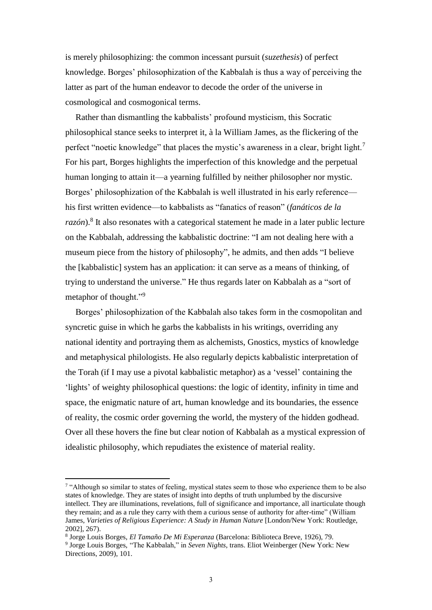is merely philosophizing: the common incessant pursuit (*suzethesis*) of perfect knowledge. Borges' philosophization of the Kabbalah is thus a way of perceiving the latter as part of the human endeavor to decode the order of the universe in cosmological and cosmogonical terms.

Rather than dismantling the kabbalists' profound mysticism, this Socratic philosophical stance seeks to interpret it, à la William James, as the flickering of the perfect "noetic knowledge" that places the mystic's awareness in a clear, bright light.<sup>7</sup> For his part, Borges highlights the imperfection of this knowledge and the perpetual human longing to attain it—a yearning fulfilled by neither philosopher nor mystic. Borges' philosophization of the Kabbalah is well illustrated in his early reference his first written evidence—to kabbalists as "fanatics of reason" (*fanáticos de la*  razón).<sup>8</sup> It also resonates with a categorical statement he made in a later public lecture on the Kabbalah, addressing the kabbalistic doctrine: "I am not dealing here with a museum piece from the history of philosophy", he admits, and then adds "I believe the [kabbalistic] system has an application: it can serve as a means of thinking, of trying to understand the universe." He thus regards later on Kabbalah as a "sort of metaphor of thought."<sup>9</sup>

Borges' philosophization of the Kabbalah also takes form in the cosmopolitan and syncretic guise in which he garbs the kabbalists in his writings, overriding any national identity and portraying them as alchemists, Gnostics, mystics of knowledge and metaphysical philologists. He also regularly depicts kabbalistic interpretation of the Torah (if I may use a pivotal kabbalistic metaphor) as a 'vessel' containing the 'lights' of weighty philosophical questions: the logic of identity, infinity in time and space, the enigmatic nature of art, human knowledge and its boundaries, the essence of reality, the cosmic order governing the world, the mystery of the hidden godhead. Over all these hovers the fine but clear notion of Kabbalah as a mystical expression of idealistic philosophy, which repudiates the existence of material reality.

<sup>&</sup>lt;sup>7</sup> "Although so similar to states of feeling, mystical states seem to those who experience them to be also states of knowledge. They are states of insight into depths of truth unplumbed by the discursive intellect. They are illuminations, revelations, full of significance and importance, all inarticulate though they remain; and as a rule they carry with them a curious sense of authority for after-time" (William James, *Varieties of Religious Experience: A Study in Human Nature* [London/New York: Routledge, 2002], 267).

<sup>8</sup> Jorge Louis Borges, *El Tamaño De Mi Esperanza* (Barcelona: Biblioteca Breve, 1926), 79.

<sup>9</sup> Jorge Louis Borges, "The Kabbalah," in *Seven Nights*, trans. Eliot Weinberger (New York: New Directions, 2009), 101.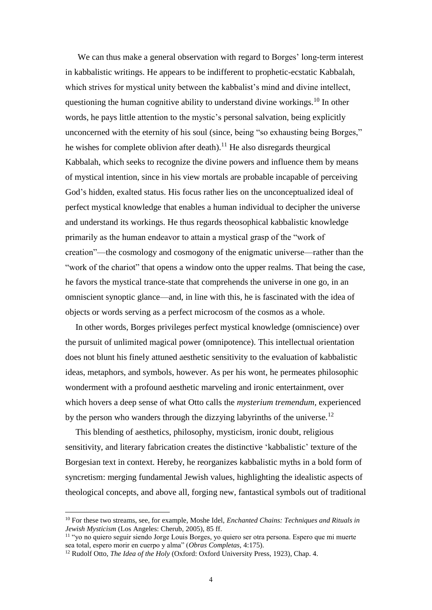We can thus make a general observation with regard to Borges' long-term interest in kabbalistic writings. He appears to be indifferent to prophetic-ecstatic Kabbalah, which strives for mystical unity between the kabbalist's mind and divine intellect, questioning the human cognitive ability to understand divine workings.<sup>10</sup> In other words, he pays little attention to the mystic's personal salvation, being explicitly unconcerned with the eternity of his soul (since, being "so exhausting being Borges," he wishes for complete oblivion after death).<sup>11</sup> He also disregards theurgical Kabbalah, which seeks to recognize the divine powers and influence them by means of mystical intention, since in his view mortals are probable incapable of perceiving God's hidden, exalted status. His focus rather lies on the unconceptualized ideal of perfect mystical knowledge that enables a human individual to decipher the universe and understand its workings. He thus regards theosophical kabbalistic knowledge primarily as the human endeavor to attain a mystical grasp of the "work of creation"—the cosmology and cosmogony of the enigmatic universe—rather than the "work of the chariot" that opens a window onto the upper realms. That being the case, he favors the mystical trance-state that comprehends the universe in one go, in an omniscient synoptic glance—and, in line with this, he is fascinated with the idea of objects or words serving as a perfect microcosm of the cosmos as a whole.

In other words, Borges privileges perfect mystical knowledge (omniscience) over the pursuit of unlimited magical power (omnipotence). This intellectual orientation does not blunt his finely attuned aesthetic sensitivity to the evaluation of kabbalistic ideas, metaphors, and symbols, however. As per his wont, he permeates philosophic wonderment with a profound aesthetic marveling and ironic entertainment, over which hovers a deep sense of what Otto calls the *mysterium tremendum,* experienced by the person who wanders through the dizzying labyrinths of the universe.<sup>12</sup>

This blending of aesthetics, philosophy, mysticism, ironic doubt, religious sensitivity, and literary fabrication creates the distinctive 'kabbalistic' texture of the Borgesian text in context. Hereby, he reorganizes kabbalistic myths in a bold form of syncretism: merging fundamental Jewish values, highlighting the idealistic aspects of theological concepts, and above all, forging new, fantastical symbols out of traditional

<sup>10</sup> For these two streams, see, for example, Moshe Idel, *Enchanted Chains: Techniques and Rituals in Jewish Mysticism* (Los Angeles: Cherub, 2005), 85 ff.

<sup>11</sup> "yo no quiero seguir siendo Jorge Louis Borges, yo quiero ser otra persona. Espero que mi muerte sea total, espero morir en cuerpo y alma" (*Obras Completas*, 4:175).

<sup>&</sup>lt;sup>12</sup> Rudolf Otto, *The Idea of the Holy* (Oxford: Oxford University Press, 1923), Chap. 4.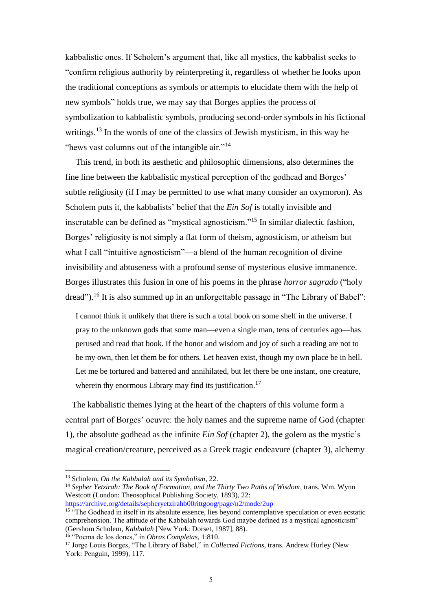kabbalistic ones. If Scholem's argument that, like all mystics, the kabbalist seeks to "confirm religious authority by reinterpreting it, regardless of whether he looks upon the traditional conceptions as symbols or attempts to elucidate them with the help of new symbols" holds true, we may say that Borges applies the process of symbolization to kabbalistic symbols, producing second-order symbols in his fictional writings.<sup>13</sup> In the words of one of the classics of Jewish mysticism, in this way he "hews vast columns out of the intangible air."<sup>14</sup>

This trend, in both its aesthetic and philosophic dimensions, also determines the fine line between the kabbalistic mystical perception of the godhead and Borges' subtle religiosity (if I may be permitted to use what many consider an oxymoron). As Scholem puts it, the kabbalists' belief that the *Ein Sof* is totally invisible and inscrutable can be defined as "mystical agnosticism."<sup>15</sup> In similar dialectic fashion, Borges' religiosity is not simply a flat form of theism, agnosticism, or atheism but what I call "intuitive agnosticism"—a blend of the human recognition of divine invisibility and abtuseness with a profound sense of mysterious elusive immanence. Borges illustrates this fusion in one of his poems in the phrase *horror sagrado* ("holy dread").<sup>16</sup> It is also summed up in an unforgettable passage in "The Library of Babel":

I cannot think it unlikely that there is such a total book on some shelf in the universe. I pray to the unknown gods that some man—even a single man, tens of centuries ago—has perused and read that book. If the honor and wisdom and joy of such a reading are not to be my own, then let them be for others. Let heaven exist, though my own place be in hell. Let me be tortured and battered and annihilated, but let there be one instant, one creature, wherein thy enormous Library may find its justification.<sup>17</sup>

 The kabbalistic themes lying at the heart of the chapters of this volume form a central part of Borges' oeuvre: the holy names and the supreme name of God (chapter 1), the absolute godhead as the infinite *Ein Sof* (chapter 2), the golem as the mystic's magical creation/creature, perceived as a Greek tragic endeavure (chapter 3), alchemy

<sup>13</sup> Scholem, *On the Kabbalah and its Symbolism*, 22.

<sup>14</sup> *Sepher Yetzirah: The Book of Formation, and the Thirty Two Paths of Wisdom*, trans. Wm. Wynn Westcott (London: Theosophical Publishing Society, 1893), 22: <https://archive.org/details/sepheryetzirahb00rittgoog/page/n2/mode/2up>

<sup>&</sup>lt;sup>15</sup> "The Godhead in itself in its absolute essence, lies beyond contemplative speculation or even ecstatic comprehension. The attitude of the Kabbalah towards God maybe defined as a mystical agnosticism" (Gershom Scholem, *Kabbalah* [New York: Dorset, 1987], 88).

<sup>16</sup> "Poema de los dones," in *Obras Completas*, 1:810.

<sup>17</sup> Jorge Louis Borges, "The Library of Babel," in *Collected Fictions*, trans. Andrew Hurley (New York: Penguin, 1999), 117.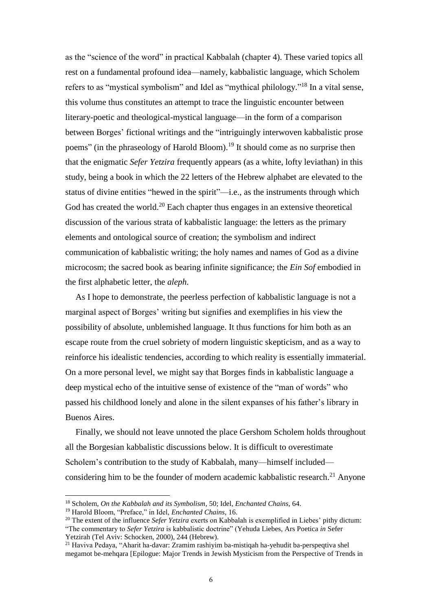as the "science of the word" in practical Kabbalah (chapter 4). These varied topics all rest on a fundamental profound idea—namely, kabbalistic language, which Scholem refers to as "mystical symbolism" and Idel as "mythical philology."<sup>18</sup> In a vital sense, this volume thus constitutes an attempt to trace the linguistic encounter between literary-poetic and theological-mystical language—in the form of a comparison between Borges' fictional writings and the "intriguingly interwoven kabbalistic prose poems" (in the phraseology of Harold Bloom).<sup>19</sup> It should come as no surprise then that the enigmatic *Sefer Yetzira* frequently appears (as a white, lofty leviathan) in this study, being a book in which the 22 letters of the Hebrew alphabet are elevated to the status of divine entities "hewed in the spirit"—i.e., as the instruments through which God has created the world.<sup>20</sup> Each chapter thus engages in an extensive theoretical discussion of the various strata of kabbalistic language: the letters as the primary elements and ontological source of creation; the symbolism and indirect communication of kabbalistic writing; the holy names and names of God as a divine microcosm; the sacred book as bearing infinite significance; the *Ein Sof* embodied in the first alphabetic letter, the *aleph*.

As I hope to demonstrate, the peerless perfection of kabbalistic language is not a marginal aspect of Borges' writing but signifies and exemplifies in his view the possibility of absolute, unblemished language. It thus functions for him both as an escape route from the cruel sobriety of modern linguistic skepticism, and as a way to reinforce his idealistic tendencies, according to which reality is essentially immaterial. On a more personal level, we might say that Borges finds in kabbalistic language a deep mystical echo of the intuitive sense of existence of the "man of words" who passed his childhood lonely and alone in the silent expanses of his father's library in Buenos Aires.

Finally, we should not leave unnoted the place Gershom Scholem holds throughout all the Borgesian kabbalistic discussions below. It is difficult to overestimate Scholem's contribution to the study of Kabbalah, many—himself included considering him to be the founder of modern academic kabbalistic research.<sup>21</sup> Anyone

<sup>18</sup> Scholem, *On the Kabbalah and its Symbolism*, 50; Idel, *Enchanted Chains*, 64.

<sup>19</sup> Harold Bloom, "Preface," in Idel, *Enchanted Chains*, 16.

<sup>&</sup>lt;sup>20</sup> The extent of the influence *Sefer Yetzira* exerts on Kabbalah is exemplified in Liebes' pithy dictum: "The commentary to *Sefer Yetzira* is kabbalistic doctrine" (Yehuda Liebes, Ars Poetica *in* Sefer Yetzirah (Tel Aviv: Schocken, 2000), 244 (Hebrew).

<sup>21</sup> Haviva Pedaya, "Aharit ha-davar: Zramim rashiyim ba-mistiqah ha-yehudit ba-perspeqtiva shel megamot be-mehqara [Epilogue: Major Trends in Jewish Mysticism from the Perspective of Trends in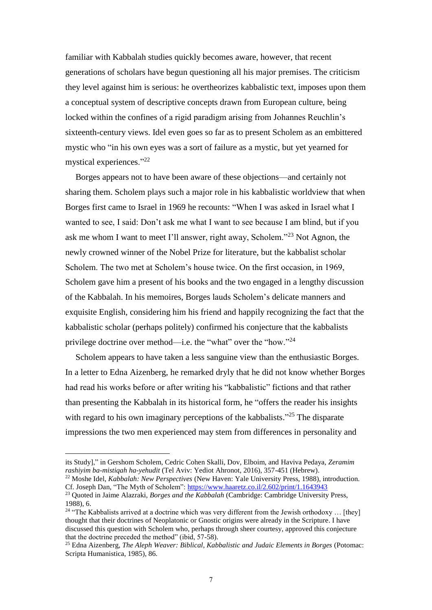familiar with Kabbalah studies quickly becomes aware, however, that recent generations of scholars have begun questioning all his major premises. The criticism they level against him is serious: he overtheorizes kabbalistic text, imposes upon them a conceptual system of descriptive concepts drawn from European culture, being locked within the confines of a rigid paradigm arising from Johannes Reuchlin's sixteenth-century views. Idel even goes so far as to present Scholem as an embittered mystic who "in his own eyes was a sort of failure as a mystic, but yet yearned for mystical experiences."<sup>22</sup>

Borges appears not to have been aware of these objections—and certainly not sharing them. Scholem plays such a major role in his kabbalistic worldview that when Borges first came to Israel in 1969 he recounts: "When I was asked in Israel what I wanted to see, I said: Don't ask me what I want to see because I am blind, but if you ask me whom I want to meet I'll answer, right away, Scholem."<sup>23</sup> Not Agnon, the newly crowned winner of the Nobel Prize for literature, but the kabbalist scholar Scholem. The two met at Scholem's house twice. On the first occasion, in 1969, Scholem gave him a present of his books and the two engaged in a lengthy discussion of the Kabbalah. In his memoires, Borges lauds Scholem's delicate manners and exquisite English, considering him his friend and happily recognizing the fact that the kabbalistic scholar (perhaps politely) confirmed his conjecture that the kabbalists privilege doctrine over method—i.e. the "what" over the "how."<sup>24</sup>

Scholem appears to have taken a less sanguine view than the enthusiastic Borges. In a letter to Edna Aizenberg, he remarked dryly that he did not know whether Borges had read his works before or after writing his "kabbalistic" fictions and that rather than presenting the Kabbalah in its historical form, he "offers the reader his insights with regard to his own imaginary perceptions of the kabbalists."<sup>25</sup> The disparate impressions the two men experienced may stem from differences in personality and

its Study]," in Gershom Scholem, Cedric Cohen Skalli, Dov, Elboim, and Haviva Pedaya, *Zeramim rashiyim ba-mistiqah ha-yehudit* (Tel Aviv: Yediot Ahronot, 2016), 357-451 (Hebrew).

<sup>22</sup> Moshe Idel, *Kabbalah: New Perspectives* (New Haven: Yale University Press, 1988), introduction. Cf. Joseph Dan, "The Myth of Scholem":<https://www.haaretz.co.il/2.602/print/1.1643943>

<sup>&</sup>lt;sup>23</sup> Quoted in Jaime Alazraki, *Borges and the Kabbalah* (Cambridge: Cambridge University Press, 1988), 6.

<sup>&</sup>lt;sup>24</sup> "The Kabbalists arrived at a doctrine which was very different from the Jewish orthodoxy ... [they] thought that their doctrines of Neoplatonic or Gnostic origins were already in the Scripture. I have discussed this question with Scholem who, perhaps through sheer courtesy, approved this conjecture that the doctrine preceded the method" (ibid, 57-58).

<sup>25</sup> Edna Aizenberg, *The Aleph Weaver: Biblical, Kabbalistic and Judaic Elements in Borges* (Potomac: Scripta Humanistica, 1985), 86.